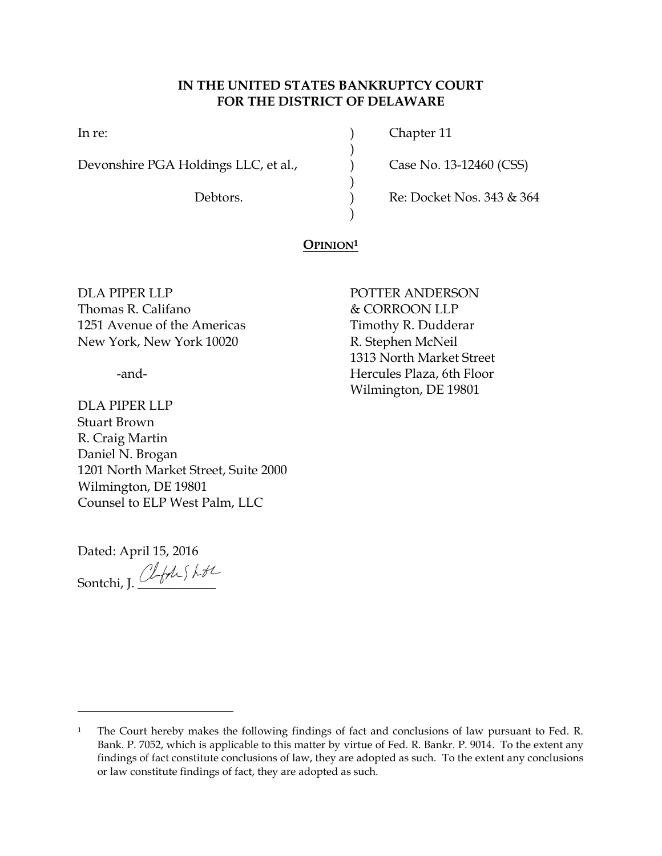# **IN THE UNITED STATES BANKRUPTCY COURT FOR THE DISTRICT OF DELAWARE**

)

)

)

Devonshire PGA Holdings LLC, et al.,  $\qquad \qquad$  Case No. 13-12460 (CSS)

In re: (a) Chapter 11

Debtors. (a) Re: Docket Nos. 343 & 364

# **OPINION<sup>1</sup>**

DLA PIPER LLP POTTER ANDERSON Thomas R. Califano  $\&$  CORROON LLP 1251 Avenue of the Americas Timothy R. Dudderar New York, New York 10020 R. Stephen McNeil

DLA PIPER LLP Stuart Brown R. Craig Martin Daniel N. Brogan 1201 North Market Street, Suite 2000 Wilmington, DE 19801 Counsel to ELP West Palm, LLC

Dated: April 15, 2016 Sontchi, J. ClfASL+L

 $\overline{a}$ 

1313 North Market Street -and- Hercules Plaza, 6th Floor Wilmington, DE 19801

<sup>&</sup>lt;sup>1</sup> The Court hereby makes the following findings of fact and conclusions of law pursuant to Fed. R. Bank. P. 7052, which is applicable to this matter by virtue of Fed. R. Bankr. P. 9014. To the extent any findings of fact constitute conclusions of law, they are adopted as such. To the extent any conclusions or law constitute findings of fact, they are adopted as such.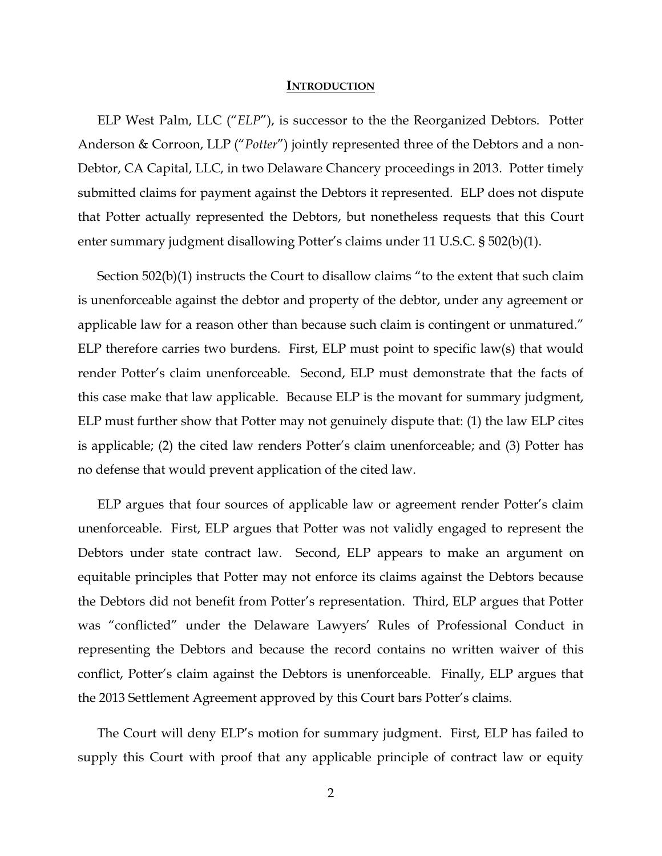#### **INTRODUCTION**

ELP West Palm, LLC ("*ELP*"), is successor to the the Reorganized Debtors. Potter Anderson & Corroon, LLP ("*Potter*") jointly represented three of the Debtors and a non-Debtor, CA Capital, LLC, in two Delaware Chancery proceedings in 2013. Potter timely submitted claims for payment against the Debtors it represented. ELP does not dispute that Potter actually represented the Debtors, but nonetheless requests that this Court enter summary judgment disallowing Potter's claims under 11 U.S.C. § 502(b)(1).

Section 502(b)(1) instructs the Court to disallow claims "to the extent that such claim is unenforceable against the debtor and property of the debtor, under any agreement or applicable law for a reason other than because such claim is contingent or unmatured." ELP therefore carries two burdens. First, ELP must point to specific law(s) that would render Potter's claim unenforceable. Second, ELP must demonstrate that the facts of this case make that law applicable. Because ELP is the movant for summary judgment, ELP must further show that Potter may not genuinely dispute that: (1) the law ELP cites is applicable; (2) the cited law renders Potter's claim unenforceable; and (3) Potter has no defense that would prevent application of the cited law.

ELP argues that four sources of applicable law or agreement render Potter's claim unenforceable. First, ELP argues that Potter was not validly engaged to represent the Debtors under state contract law. Second, ELP appears to make an argument on equitable principles that Potter may not enforce its claims against the Debtors because the Debtors did not benefit from Potter's representation. Third, ELP argues that Potter was "conflicted" under the Delaware Lawyers' Rules of Professional Conduct in representing the Debtors and because the record contains no written waiver of this conflict, Potter's claim against the Debtors is unenforceable. Finally, ELP argues that the 2013 Settlement Agreement approved by this Court bars Potter's claims.

The Court will deny ELP's motion for summary judgment. First, ELP has failed to supply this Court with proof that any applicable principle of contract law or equity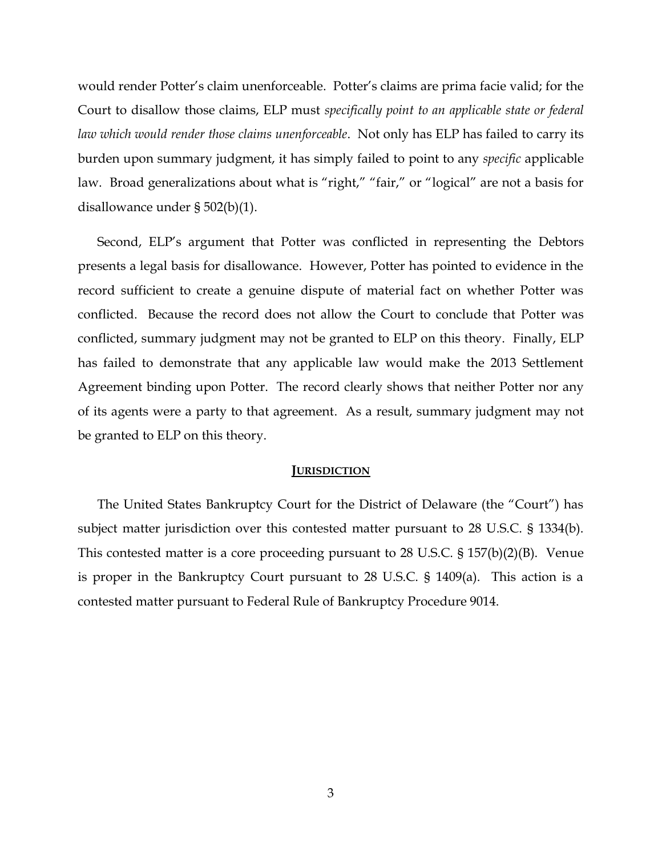would render Potter's claim unenforceable. Potter's claims are prima facie valid; for the Court to disallow those claims, ELP must *specifically point to an applicable state or federal law which would render those claims unenforceable*. Not only has ELP has failed to carry its burden upon summary judgment, it has simply failed to point to any *specific* applicable law. Broad generalizations about what is "right," "fair," or "logical" are not a basis for disallowance under § 502(b)(1).

Second, ELP's argument that Potter was conflicted in representing the Debtors presents a legal basis for disallowance. However, Potter has pointed to evidence in the record sufficient to create a genuine dispute of material fact on whether Potter was conflicted. Because the record does not allow the Court to conclude that Potter was conflicted, summary judgment may not be granted to ELP on this theory. Finally, ELP has failed to demonstrate that any applicable law would make the 2013 Settlement Agreement binding upon Potter. The record clearly shows that neither Potter nor any of its agents were a party to that agreement. As a result, summary judgment may not be granted to ELP on this theory.

### **JURISDICTION**

The United States Bankruptcy Court for the District of Delaware (the "Court") has subject matter jurisdiction over this contested matter pursuant to 28 U.S.C. § 1334(b). This contested matter is a core proceeding pursuant to 28 U.S.C. § 157(b)(2)(B). Venue is proper in the Bankruptcy Court pursuant to 28 U.S.C. § 1409(a). This action is a contested matter pursuant to Federal Rule of Bankruptcy Procedure 9014.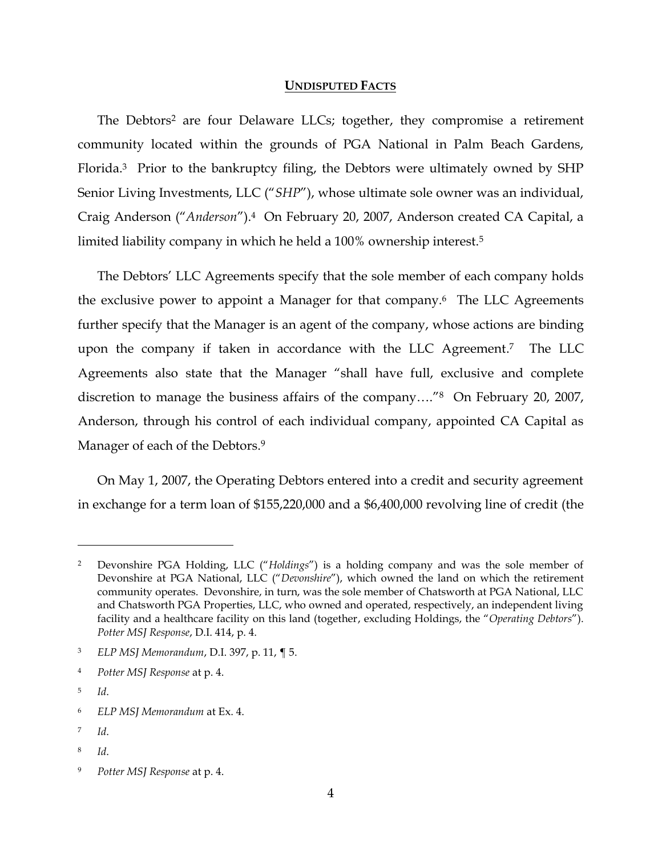#### **UNDISPUTED FACTS**

The Debtors<sup>2</sup> are four Delaware LLCs; together, they compromise a retirement community located within the grounds of PGA National in Palm Beach Gardens, Florida.3 Prior to the bankruptcy filing, the Debtors were ultimately owned by SHP Senior Living Investments, LLC ("*SHP*"), whose ultimate sole owner was an individual, Craig Anderson ("*Anderson*").4 On February 20, 2007, Anderson created CA Capital, a limited liability company in which he held a 100% ownership interest.<sup>5</sup>

The Debtors' LLC Agreements specify that the sole member of each company holds the exclusive power to appoint a Manager for that company.6 The LLC Agreements further specify that the Manager is an agent of the company, whose actions are binding upon the company if taken in accordance with the LLC Agreement. <sup>7</sup> The LLC Agreements also state that the Manager "shall have full, exclusive and complete discretion to manage the business affairs of the company…."8 On February 20, 2007, Anderson, through his control of each individual company, appointed CA Capital as Manager of each of the Debtors.<sup>9</sup>

On May 1, 2007, the Operating Debtors entered into a credit and security agreement in exchange for a term loan of \$155,220,000 and a \$6,400,000 revolving line of credit (the

 $\overline{a}$ 

8 *Id*.

<sup>2</sup> Devonshire PGA Holding, LLC ("*Holdings*") is a holding company and was the sole member of Devonshire at PGA National, LLC ("*Devonshire*"), which owned the land on which the retirement community operates. Devonshire, in turn, was the sole member of Chatsworth at PGA National, LLC and Chatsworth PGA Properties, LLC, who owned and operated, respectively, an independent living facility and a healthcare facility on this land (together, excluding Holdings, the "*Operating Debtors*"). *Potter MSJ Response*, D.I. 414, p. 4.

<sup>3</sup> *ELP MSJ Memorandum*, D.I. 397, p. 11, ¶ 5.

<sup>4</sup> *Potter MSJ Response* at p. 4.

<sup>5</sup> *Id*.

<sup>6</sup> *ELP MSJ Memorandum* at Ex. 4.

<sup>7</sup> *Id*.

<sup>9</sup> *Potter MSJ Response* at p. 4.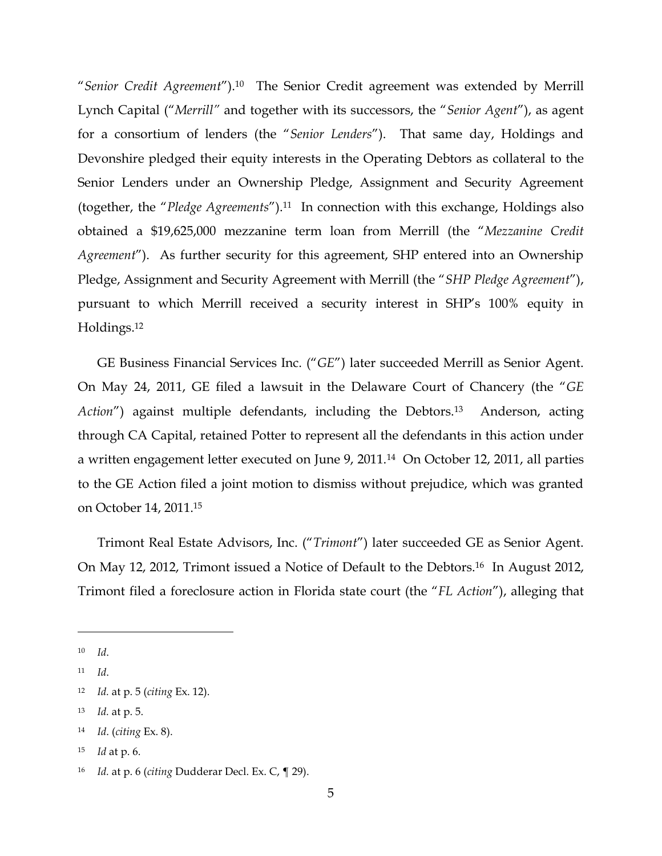"*Senior Credit Agreement*"). <sup>10</sup> The Senior Credit agreement was extended by Merrill Lynch Capital ("*Merrill"* and together with its successors, the "*Senior Agent*"), as agent for a consortium of lenders (the "*Senior Lenders*"). That same day, Holdings and Devonshire pledged their equity interests in the Operating Debtors as collateral to the Senior Lenders under an Ownership Pledge, Assignment and Security Agreement (together, the "*Pledge Agreements*").11 In connection with this exchange, Holdings also obtained a \$19,625,000 mezzanine term loan from Merrill (the "*Mezzanine Credit Agreement*"). As further security for this agreement, SHP entered into an Ownership Pledge, Assignment and Security Agreement with Merrill (the "*SHP Pledge Agreement*"), pursuant to which Merrill received a security interest in SHP's 100% equity in Holdings.<sup>12</sup>

GE Business Financial Services Inc. ("*GE*") later succeeded Merrill as Senior Agent. On May 24, 2011, GE filed a lawsuit in the Delaware Court of Chancery (the "*GE Action*") against multiple defendants, including the Debtors.<sup>13</sup> Anderson, acting through CA Capital, retained Potter to represent all the defendants in this action under a written engagement letter executed on June 9, 2011.<sup>14</sup> On October 12, 2011, all parties to the GE Action filed a joint motion to dismiss without prejudice, which was granted on October 14, 2011.<sup>15</sup>

Trimont Real Estate Advisors, Inc. ("*Trimont*") later succeeded GE as Senior Agent. On May 12, 2012, Trimont issued a Notice of Default to the Debtors.16 In August 2012, Trimont filed a foreclosure action in Florida state court (the "*FL Action*"), alleging that

 $\overline{a}$ 

<sup>13</sup> *Id.* at p. 5.

<sup>15</sup> *Id* at p. 6.

<sup>10</sup> *Id*.

<sup>11</sup> *Id*.

<sup>12</sup> *Id.* at p. 5 (*citing* Ex. 12).

<sup>14</sup> *Id*. (*citing* Ex. 8).

<sup>16</sup> *Id.* at p. 6 (*citing* Dudderar Decl. Ex. C, ¶ 29).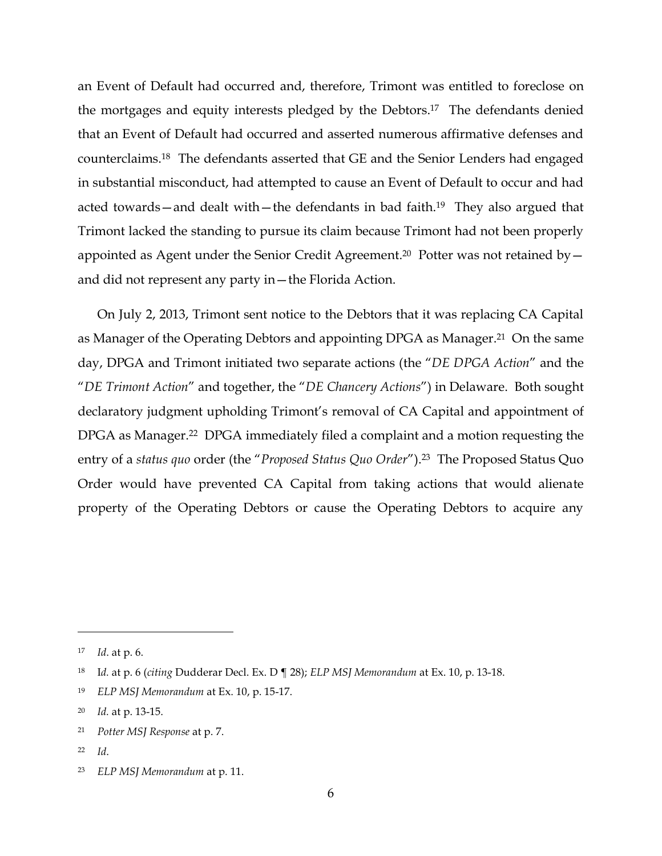an Event of Default had occurred and, therefore, Trimont was entitled to foreclose on the mortgages and equity interests pledged by the Debtors. <sup>17</sup> The defendants denied that an Event of Default had occurred and asserted numerous affirmative defenses and counterclaims.18 The defendants asserted that GE and the Senior Lenders had engaged in substantial misconduct, had attempted to cause an Event of Default to occur and had acted towards—and dealt with—the defendants in bad faith.<sup>19</sup> They also argued that Trimont lacked the standing to pursue its claim because Trimont had not been properly appointed as Agent under the Senior Credit Agreement.<sup>20</sup> Potter was not retained by  $$ and did not represent any party in—the Florida Action.

On July 2, 2013, Trimont sent notice to the Debtors that it was replacing CA Capital as Manager of the Operating Debtors and appointing DPGA as Manager.<sup>21</sup> On the same day, DPGA and Trimont initiated two separate actions (the "*DE DPGA Action*" and the "*DE Trimont Action*" and together, the "*DE Chancery Actions*") in Delaware. Both sought declaratory judgment upholding Trimont's removal of CA Capital and appointment of DPGA as Manager. <sup>22</sup> DPGA immediately filed a complaint and a motion requesting the entry of a *status quo* order (the "*Proposed Status Quo Order*").<sup>23</sup> The Proposed Status Quo Order would have prevented CA Capital from taking actions that would alienate property of the Operating Debtors or cause the Operating Debtors to acquire any

<sup>17</sup> *Id*. at p. 6.

<sup>18</sup> I*d.* at p. 6 (*citing* Dudderar Decl. Ex. D ¶ 28); *ELP MSJ Memorandum* at Ex. 10, p. 13-18.

<sup>19</sup> *ELP MSJ Memorandum* at Ex. 10, p. 15-17.

<sup>20</sup> *Id.* at p. 13-15.

<sup>21</sup> *Potter MSJ Response* at p. 7.

<sup>22</sup> *Id*.

<sup>23</sup> *ELP MSJ Memorandum* at p. 11.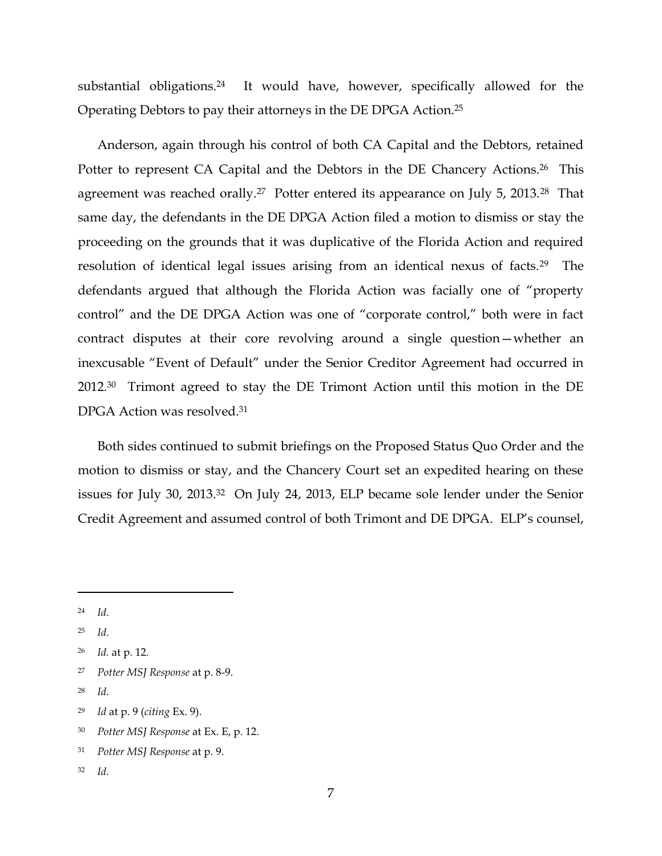substantial obligations.<sup>24</sup> It would have, however, specifically allowed for the Operating Debtors to pay their attorneys in the DE DPGA Action.<sup>25</sup>

Anderson, again through his control of both CA Capital and the Debtors, retained Potter to represent CA Capital and the Debtors in the DE Chancery Actions.<sup>26</sup> This agreement was reached orally.<sup>27</sup> Potter entered its appearance on July 5, 2013.<sup>28</sup> That same day, the defendants in the DE DPGA Action filed a motion to dismiss or stay the proceeding on the grounds that it was duplicative of the Florida Action and required resolution of identical legal issues arising from an identical nexus of facts.29 The defendants argued that although the Florida Action was facially one of "property control" and the DE DPGA Action was one of "corporate control," both were in fact contract disputes at their core revolving around a single question—whether an inexcusable "Event of Default" under the Senior Creditor Agreement had occurred in 2012.30 Trimont agreed to stay the DE Trimont Action until this motion in the DE DPGA Action was resolved.<sup>31</sup>

Both sides continued to submit briefings on the Proposed Status Quo Order and the motion to dismiss or stay, and the Chancery Court set an expedited hearing on these issues for July 30, 2013.32 On July 24, 2013, ELP became sole lender under the Senior Credit Agreement and assumed control of both Trimont and DE DPGA. ELP's counsel,

 $\overline{a}$ 

<sup>30</sup> *Potter MSJ Response* at Ex. E, p. 12.

<sup>32</sup> *Id*.

<sup>24</sup> *Id*.

<sup>25</sup> *Id*.

<sup>26</sup> *Id.* at p. 12.

<sup>27</sup> *Potter MSJ Response* at p. 8-9.

<sup>28</sup> *Id*.

<sup>29</sup> *Id* at p. 9 (*citing* Ex. 9).

<sup>31</sup> *Potter MSJ Response* at p. 9.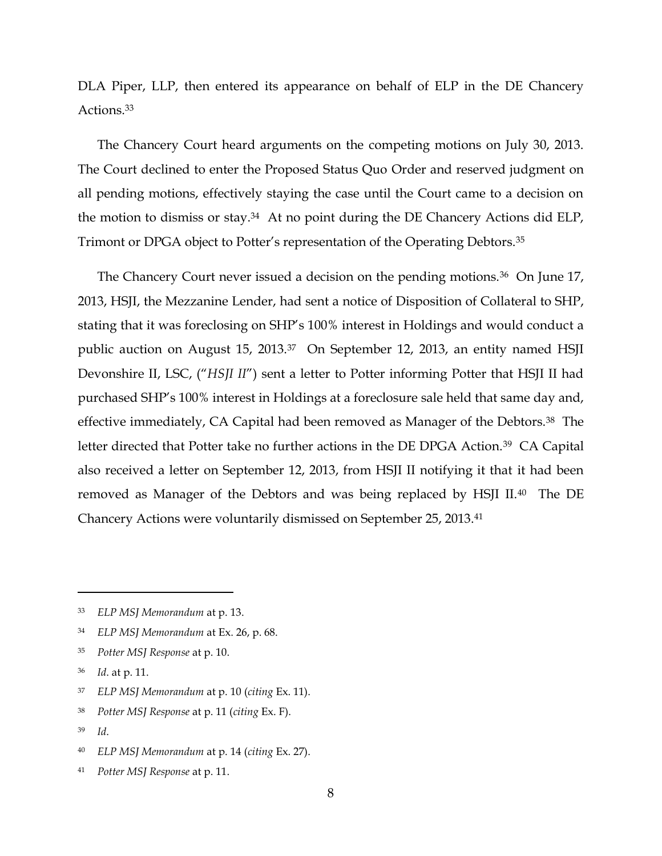DLA Piper, LLP, then entered its appearance on behalf of ELP in the DE Chancery Actions.<sup>33</sup>

The Chancery Court heard arguments on the competing motions on July 30, 2013. The Court declined to enter the Proposed Status Quo Order and reserved judgment on all pending motions, effectively staying the case until the Court came to a decision on the motion to dismiss or stay.34 At no point during the DE Chancery Actions did ELP, Trimont or DPGA object to Potter's representation of the Operating Debtors.<sup>35</sup>

The Chancery Court never issued a decision on the pending motions.<sup>36</sup> On June 17, 2013, HSJI, the Mezzanine Lender, had sent a notice of Disposition of Collateral to SHP, stating that it was foreclosing on SHP's 100% interest in Holdings and would conduct a public auction on August 15, 2013.<sup>37</sup> On September 12, 2013, an entity named HSJI Devonshire II, LSC, ("*HSJI II*") sent a letter to Potter informing Potter that HSJI II had purchased SHP's 100% interest in Holdings at a foreclosure sale held that same day and, effective immediately, CA Capital had been removed as Manager of the Debtors.<sup>38</sup> The letter directed that Potter take no further actions in the DE DPGA Action.<sup>39</sup> CA Capital also received a letter on September 12, 2013, from HSJI II notifying it that it had been removed as Manager of the Debtors and was being replaced by HSJI II.40 The DE Chancery Actions were voluntarily dismissed on September 25, 2013.<sup>41</sup>

- <sup>37</sup> *ELP MSJ Memorandum* at p. 10 (*citing* Ex. 11).
- <sup>38</sup> *Potter MSJ Response* at p. 11 (*citing* Ex. F).
- <sup>39</sup> *Id*.

- <sup>40</sup> *ELP MSJ Memorandum* at p. 14 (*citing* Ex. 27).
- <sup>41</sup> *Potter MSJ Response* at p. 11.

<sup>33</sup> *ELP MSJ Memorandum* at p. 13.

<sup>34</sup> *ELP MSJ Memorandum* at Ex. 26, p. 68.

<sup>35</sup> *Potter MSJ Response* at p. 10.

<sup>36</sup> *Id*. at p. 11.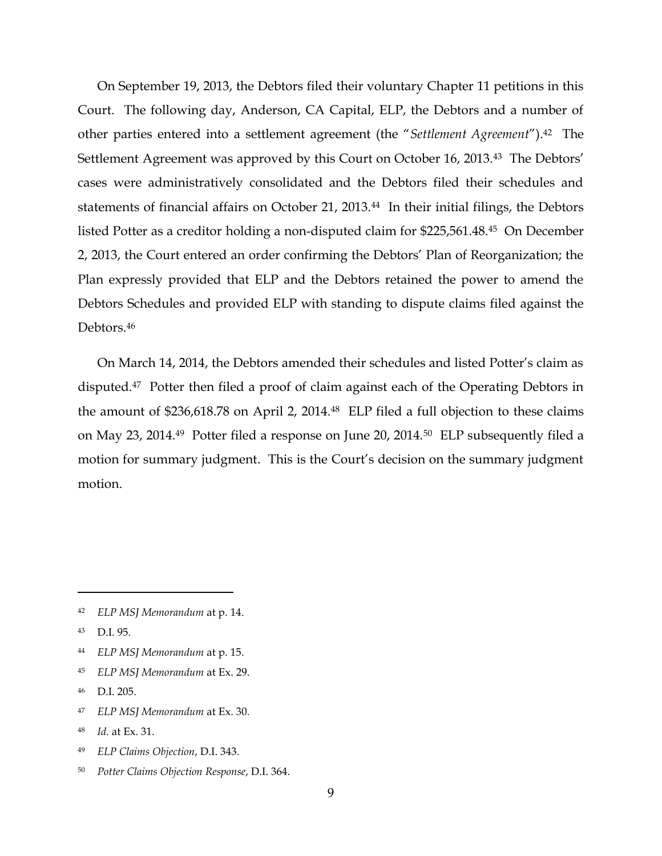On September 19, 2013, the Debtors filed their voluntary Chapter 11 petitions in this Court. The following day, Anderson, CA Capital, ELP, the Debtors and a number of other parties entered into a settlement agreement (the "*Settlement Agreement*").42 The Settlement Agreement was approved by this Court on October 16, 2013.43 The Debtors' cases were administratively consolidated and the Debtors filed their schedules and statements of financial affairs on October 21, 2013.<sup>44</sup> In their initial filings, the Debtors listed Potter as a creditor holding a non-disputed claim for \$225,561.48.45 On December 2, 2013, the Court entered an order confirming the Debtors' Plan of Reorganization; the Plan expressly provided that ELP and the Debtors retained the power to amend the Debtors Schedules and provided ELP with standing to dispute claims filed against the Debtors.<sup>46</sup>

On March 14, 2014, the Debtors amended their schedules and listed Potter's claim as disputed.47 Potter then filed a proof of claim against each of the Operating Debtors in the amount of \$236,618.78 on April 2, 2014.48 ELP filed a full objection to these claims on May 23, 2014.49 Potter filed a response on June 20, 2014.50 ELP subsequently filed a motion for summary judgment. This is the Court's decision on the summary judgment motion.

- <sup>48</sup> *Id.* at Ex. 31.
- <sup>49</sup> *ELP Claims Objection*, D.I. 343.
- <sup>50</sup> *Potter Claims Objection Response*, D.I. 364.

<sup>42</sup> *ELP MSJ Memorandum* at p. 14.

<sup>43</sup> D.I. 95.

<sup>44</sup> *ELP MSJ Memorandum* at p. 15.

<sup>45</sup> *ELP MSJ Memorandum* at Ex. 29.

<sup>46</sup> D.I. 205.

<sup>47</sup> *ELP MSJ Memorandum* at Ex. 30.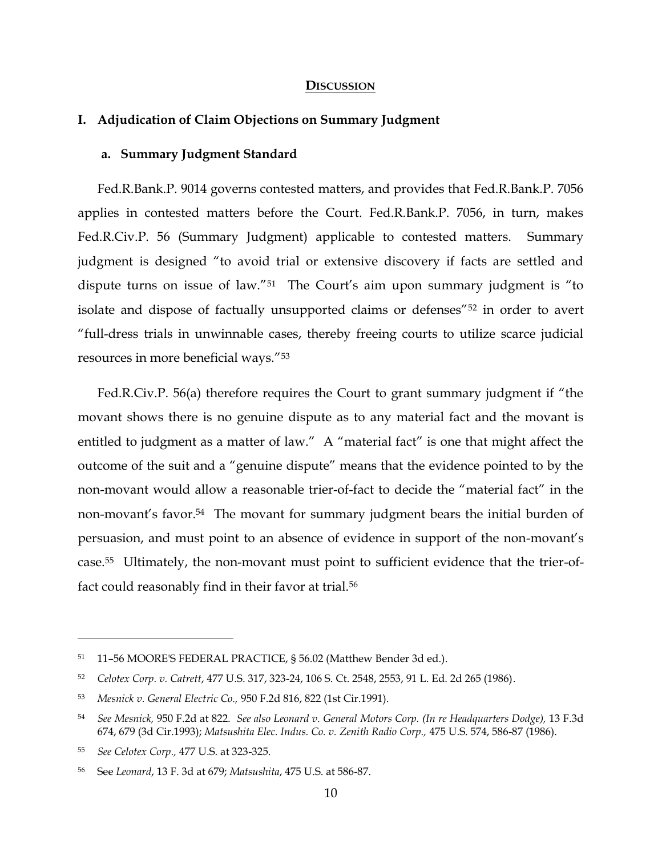### **DISCUSSION**

# **I. Adjudication of Claim Objections on Summary Judgment**

# **a. Summary Judgment Standard**

Fed.R.Bank.P. 9014 governs contested matters, and provides that Fed.R.Bank.P. 7056 applies in contested matters before the Court. Fed.R.Bank.P. 7056, in turn, makes Fed.R.Civ.P. 56 (Summary Judgment) applicable to contested matters. Summary judgment is designed "to avoid trial or extensive discovery if facts are settled and dispute turns on issue of law."<sup>51</sup> The Court's aim upon summary judgment is "to isolate and dispose of factually unsupported claims or defenses"<sup>52</sup> in order to avert "full-dress trials in unwinnable cases, thereby freeing courts to utilize scarce judicial resources in more beneficial ways."<sup>53</sup>

Fed.R.Civ.P. 56(a) therefore requires the Court to grant summary judgment if "the movant shows there is no genuine dispute as to any material fact and the movant is entitled to judgment as a matter of law." A "material fact" is one that might affect the outcome of the suit and a "genuine dispute" means that the evidence pointed to by the non-movant would allow a reasonable trier-of-fact to decide the "material fact" in the non-movant's favor.54 The movant for summary judgment bears the initial burden of persuasion, and must point to an absence of evidence in support of the non-movant's case.55 Ultimately, the non-movant must point to sufficient evidence that the trier-offact could reasonably find in their favor at trial.<sup>56</sup>

<sup>51</sup> 11–56 MOORE'S FEDERAL PRACTICE, § 56.02 (Matthew Bender 3d ed.).

<sup>52</sup> *Celotex Corp. v. Catrett*, 477 U.S. 317, 323-24, 106 S. Ct. 2548, 2553, 91 L. Ed. 2d 265 (1986).

<sup>53</sup> *Mesnick v. General Electric Co.,* 950 F.2d 816, 822 (1st Cir.1991).

<sup>54</sup> *See Mesnick,* 950 F.2d at 822. *See also Leonard v. General Motors Corp. (In re Headquarters Dodge),* 13 F.3d 674, 679 (3d Cir.1993); *Matsushita Elec. Indus. Co. v. Zenith Radio Corp.,* 475 U.S. 574, 586-87 (1986).

<sup>55</sup> *See Celotex Corp.,* 477 U.S. at 323-325.

<sup>56</sup> See *Leonard*, 13 F. 3d at 679; *Matsushita*, 475 U.S. at 586-87.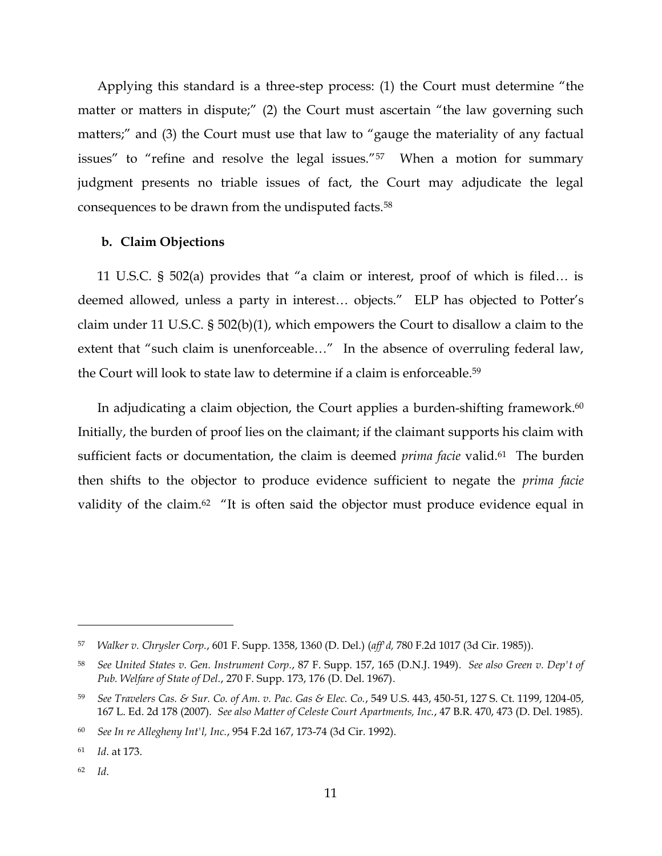Applying this standard is a three-step process: (1) the Court must determine "the matter or matters in dispute;" (2) the Court must ascertain "the law governing such matters;" and (3) the Court must use that law to "gauge the materiality of any factual issues" to "refine and resolve the legal issues."57 When a motion for summary judgment presents no triable issues of fact, the Court may adjudicate the legal consequences to be drawn from the undisputed facts.<sup>58</sup>

## **b. Claim Objections**

11 U.S.C. § 502(a) provides that "a claim or interest, proof of which is filed… is deemed allowed, unless a party in interest… objects." ELP has objected to Potter's claim under 11 U.S.C. § 502(b)(1), which empowers the Court to disallow a claim to the extent that "such claim is unenforceable..." In the absence of overruling federal law, the Court will look to state law to determine if a claim is enforceable. 59

In adjudicating a claim objection, the Court applies a burden-shifting framework.<sup>60</sup> Initially, the burden of proof lies on the claimant; if the claimant supports his claim with sufficient facts or documentation, the claim is deemed *prima facie* valid.<sup>61</sup> The burden then shifts to the objector to produce evidence sufficient to negate the *prima facie*  validity of the claim.<sup>62</sup> "It is often said the objector must produce evidence equal in

<sup>57</sup> *Walker v. Chrysler Corp.*, 601 F. Supp. 1358, 1360 (D. Del.) (*aff'd,* 780 F.2d 1017 (3d Cir. 1985)).

<sup>58</sup> *See United States v. Gen. Instrument Corp.*, 87 F. Supp. 157, 165 (D.N.J. 1949). *See also Green v. Dep't of Pub. Welfare of State of Del.*, 270 F. Supp. 173, 176 (D. Del. 1967).

<sup>59</sup> *See Travelers Cas. & Sur. Co. of Am. v. Pac. Gas & Elec. Co.*, 549 U.S. 443, 450-51, 127 S. Ct. 1199, 1204-05, 167 L. Ed. 2d 178 (2007). *See also Matter of Celeste Court Apartments, Inc.*, 47 B.R. 470, 473 (D. Del. 1985).

<sup>60</sup> *See In re Allegheny Int'l, Inc.*, 954 F.2d 167, 173-74 (3d Cir. 1992).

<sup>61</sup> *Id*. at 173.

<sup>62</sup> *Id*.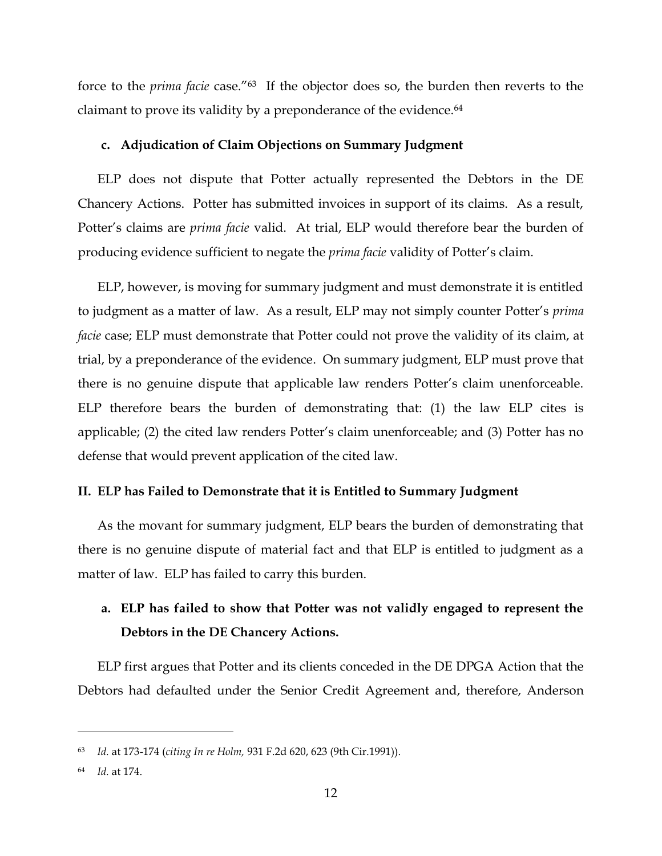force to the *prima facie* case."<sup>63</sup> If the objector does so, the burden then reverts to the claimant to prove its validity by a preponderance of the evidence.<sup>64</sup>

## **c. Adjudication of Claim Objections on Summary Judgment**

ELP does not dispute that Potter actually represented the Debtors in the DE Chancery Actions. Potter has submitted invoices in support of its claims. As a result, Potter's claims are *prima facie* valid. At trial, ELP would therefore bear the burden of producing evidence sufficient to negate the *prima facie* validity of Potter's claim.

ELP, however, is moving for summary judgment and must demonstrate it is entitled to judgment as a matter of law. As a result, ELP may not simply counter Potter's *prima facie* case; ELP must demonstrate that Potter could not prove the validity of its claim, at trial, by a preponderance of the evidence. On summary judgment, ELP must prove that there is no genuine dispute that applicable law renders Potter's claim unenforceable. ELP therefore bears the burden of demonstrating that: (1) the law ELP cites is applicable; (2) the cited law renders Potter's claim unenforceable; and (3) Potter has no defense that would prevent application of the cited law.

### **II. ELP has Failed to Demonstrate that it is Entitled to Summary Judgment**

As the movant for summary judgment, ELP bears the burden of demonstrating that there is no genuine dispute of material fact and that ELP is entitled to judgment as a matter of law. ELP has failed to carry this burden.

# **a. ELP has failed to show that Potter was not validly engaged to represent the Debtors in the DE Chancery Actions.**

ELP first argues that Potter and its clients conceded in the DE DPGA Action that the Debtors had defaulted under the Senior Credit Agreement and, therefore, Anderson

<sup>63</sup> *Id.* at 173-174 (*citing In re Holm,* 931 F.2d 620, 623 (9th Cir.1991)).

<sup>64</sup> *Id.* at 174.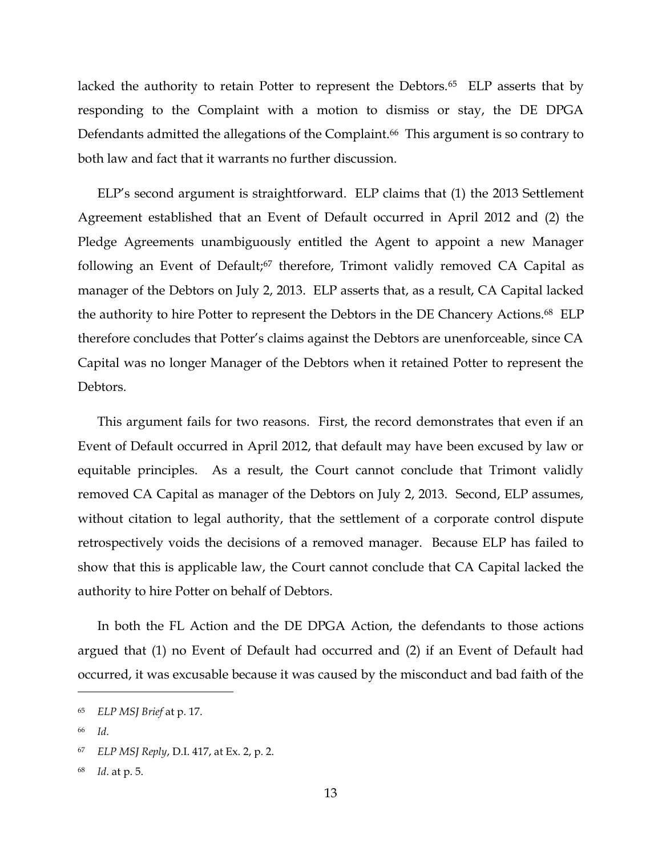lacked the authority to retain Potter to represent the Debtors.<sup>65</sup> ELP asserts that by responding to the Complaint with a motion to dismiss or stay, the DE DPGA Defendants admitted the allegations of the Complaint.<sup>66</sup> This argument is so contrary to both law and fact that it warrants no further discussion.

ELP's second argument is straightforward. ELP claims that (1) the 2013 Settlement Agreement established that an Event of Default occurred in April 2012 and (2) the Pledge Agreements unambiguously entitled the Agent to appoint a new Manager following an Event of Default;<sup>67</sup> therefore, Trimont validly removed CA Capital as manager of the Debtors on July 2, 2013. ELP asserts that, as a result, CA Capital lacked the authority to hire Potter to represent the Debtors in the DE Chancery Actions. <sup>68</sup> ELP therefore concludes that Potter's claims against the Debtors are unenforceable, since CA Capital was no longer Manager of the Debtors when it retained Potter to represent the Debtors.

This argument fails for two reasons. First, the record demonstrates that even if an Event of Default occurred in April 2012, that default may have been excused by law or equitable principles. As a result, the Court cannot conclude that Trimont validly removed CA Capital as manager of the Debtors on July 2, 2013. Second, ELP assumes, without citation to legal authority, that the settlement of a corporate control dispute retrospectively voids the decisions of a removed manager. Because ELP has failed to show that this is applicable law, the Court cannot conclude that CA Capital lacked the authority to hire Potter on behalf of Debtors.

In both the FL Action and the DE DPGA Action, the defendants to those actions argued that (1) no Event of Default had occurred and (2) if an Event of Default had occurred, it was excusable because it was caused by the misconduct and bad faith of the

<sup>65</sup> *ELP MSJ Brief* at p. 17.

<sup>66</sup> *Id*.

<sup>67</sup> *ELP MSJ Reply*, D.I. 417, at Ex. 2, p. 2.

<sup>68</sup> *Id*. at p. 5.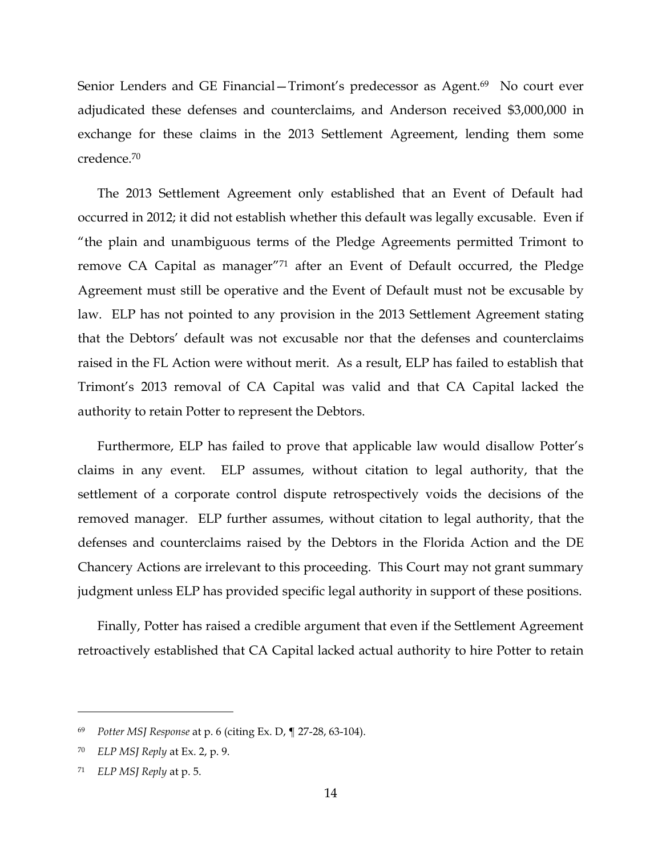Senior Lenders and GE Financial–Trimont's predecessor as Agent.<sup>69</sup> No court ever adjudicated these defenses and counterclaims, and Anderson received \$3,000,000 in exchange for these claims in the 2013 Settlement Agreement, lending them some credence.<sup>70</sup>

 The 2013 Settlement Agreement only established that an Event of Default had occurred in 2012; it did not establish whether this default was legally excusable. Even if "the plain and unambiguous terms of the Pledge Agreements permitted Trimont to remove CA Capital as manager"<sup>71</sup> after an Event of Default occurred, the Pledge Agreement must still be operative and the Event of Default must not be excusable by law. ELP has not pointed to any provision in the 2013 Settlement Agreement stating that the Debtors' default was not excusable nor that the defenses and counterclaims raised in the FL Action were without merit. As a result, ELP has failed to establish that Trimont's 2013 removal of CA Capital was valid and that CA Capital lacked the authority to retain Potter to represent the Debtors.

Furthermore, ELP has failed to prove that applicable law would disallow Potter's claims in any event. ELP assumes, without citation to legal authority, that the settlement of a corporate control dispute retrospectively voids the decisions of the removed manager. ELP further assumes, without citation to legal authority, that the defenses and counterclaims raised by the Debtors in the Florida Action and the DE Chancery Actions are irrelevant to this proceeding. This Court may not grant summary judgment unless ELP has provided specific legal authority in support of these positions.

Finally, Potter has raised a credible argument that even if the Settlement Agreement retroactively established that CA Capital lacked actual authority to hire Potter to retain

<sup>69</sup> *Potter MSJ Response* at p. 6 (citing Ex. D, ¶ 27-28, 63-104).

<sup>70</sup> *ELP MSJ Reply* at Ex. 2, p. 9.

<sup>71</sup> *ELP MSJ Reply* at p. 5.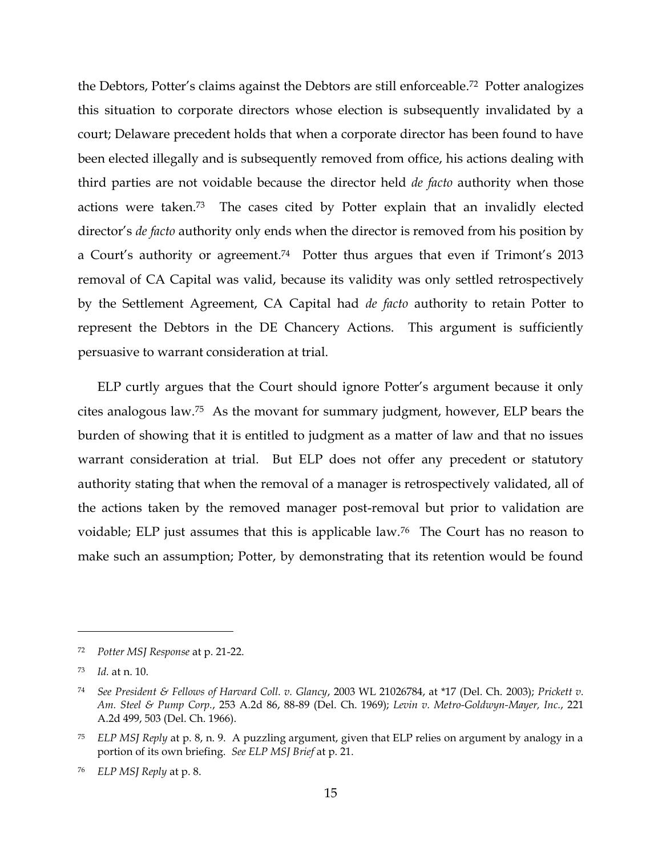the Debtors, Potter's claims against the Debtors are still enforceable. 72 Potter analogizes this situation to corporate directors whose election is subsequently invalidated by a court; Delaware precedent holds that when a corporate director has been found to have been elected illegally and is subsequently removed from office, his actions dealing with third parties are not voidable because the director held *de facto* authority when those actions were taken. <sup>73</sup> The cases cited by Potter explain that an invalidly elected director's *de facto* authority only ends when the director is removed from his position by a Court's authority or agreement. <sup>74</sup> Potter thus argues that even if Trimont's 2013 removal of CA Capital was valid, because its validity was only settled retrospectively by the Settlement Agreement, CA Capital had *de facto* authority to retain Potter to represent the Debtors in the DE Chancery Actions. This argument is sufficiently persuasive to warrant consideration at trial.

ELP curtly argues that the Court should ignore Potter's argument because it only cites analogous law.75 As the movant for summary judgment, however, ELP bears the burden of showing that it is entitled to judgment as a matter of law and that no issues warrant consideration at trial. But ELP does not offer any precedent or statutory authority stating that when the removal of a manager is retrospectively validated, all of the actions taken by the removed manager post-removal but prior to validation are voidable; ELP just assumes that this is applicable law.76 The Court has no reason to make such an assumption; Potter, by demonstrating that its retention would be found

<sup>72</sup> *Potter MSJ Response* at p. 21-22.

<sup>73</sup> *Id.* at n. 10.

<sup>74</sup> *See President & Fellows of Harvard Coll. v. Glancy*, 2003 WL 21026784, at \*17 (Del. Ch. 2003); *Prickett v. Am. Steel & Pump Corp.*, 253 A.2d 86, 88-89 (Del. Ch. 1969); *Levin v. Metro-Goldwyn-Mayer, Inc.*, 221 A.2d 499, 503 (Del. Ch. 1966).

<sup>75</sup> *ELP MSJ Reply* at p. 8, n. 9. A puzzling argument, given that ELP relies on argument by analogy in a portion of its own briefing. *See ELP MSJ Brief* at p. 21.

<sup>76</sup> *ELP MSJ Reply* at p. 8.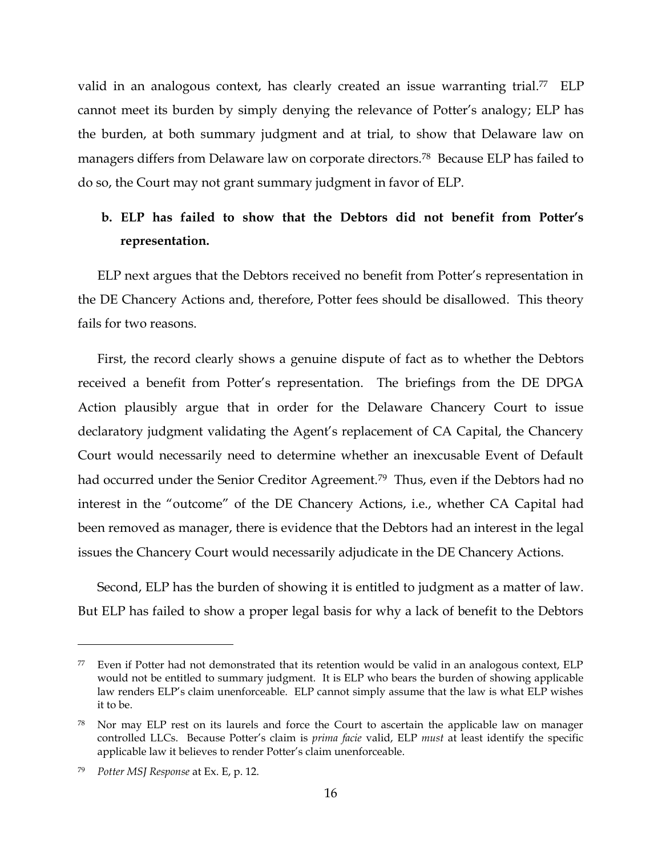valid in an analogous context, has clearly created an issue warranting trial.<sup>77</sup> ELP cannot meet its burden by simply denying the relevance of Potter's analogy; ELP has the burden, at both summary judgment and at trial, to show that Delaware law on managers differs from Delaware law on corporate directors.78 Because ELP has failed to do so, the Court may not grant summary judgment in favor of ELP.

# **b. ELP has failed to show that the Debtors did not benefit from Potter's representation.**

ELP next argues that the Debtors received no benefit from Potter's representation in the DE Chancery Actions and, therefore, Potter fees should be disallowed. This theory fails for two reasons.

First, the record clearly shows a genuine dispute of fact as to whether the Debtors received a benefit from Potter's representation. The briefings from the DE DPGA Action plausibly argue that in order for the Delaware Chancery Court to issue declaratory judgment validating the Agent's replacement of CA Capital, the Chancery Court would necessarily need to determine whether an inexcusable Event of Default had occurred under the Senior Creditor Agreement.<sup>79</sup> Thus, even if the Debtors had no interest in the "outcome" of the DE Chancery Actions, i.e., whether CA Capital had been removed as manager, there is evidence that the Debtors had an interest in the legal issues the Chancery Court would necessarily adjudicate in the DE Chancery Actions.

Second, ELP has the burden of showing it is entitled to judgment as a matter of law. But ELP has failed to show a proper legal basis for why a lack of benefit to the Debtors

<sup>77</sup> Even if Potter had not demonstrated that its retention would be valid in an analogous context, ELP would not be entitled to summary judgment. It is ELP who bears the burden of showing applicable law renders ELP's claim unenforceable. ELP cannot simply assume that the law is what ELP wishes it to be.

Nor may ELP rest on its laurels and force the Court to ascertain the applicable law on manager controlled LLCs. Because Potter's claim is *prima facie* valid, ELP *must* at least identify the specific applicable law it believes to render Potter's claim unenforceable.

<sup>79</sup> *Potter MSJ Response* at Ex. E, p. 12.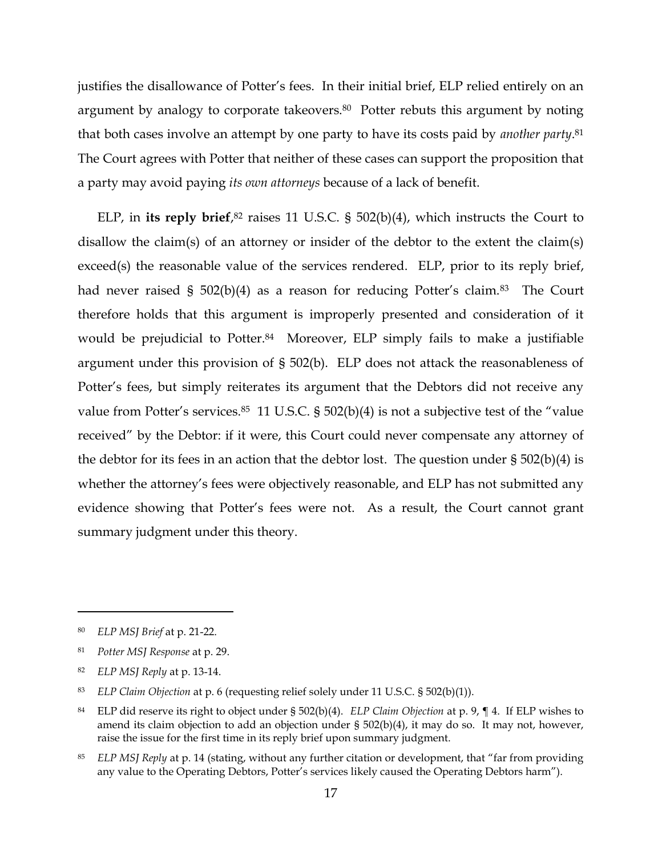justifies the disallowance of Potter's fees. In their initial brief, ELP relied entirely on an argument by analogy to corporate takeovers.<sup>80</sup> Potter rebuts this argument by noting that both cases involve an attempt by one party to have its costs paid by *another party*. 81 The Court agrees with Potter that neither of these cases can support the proposition that a party may avoid paying *its own attorneys* because of a lack of benefit.

ELP, in **its reply brief**, <sup>82</sup> raises 11 U.S.C. § 502(b)(4), which instructs the Court to disallow the claim(s) of an attorney or insider of the debtor to the extent the claim(s) exceed(s) the reasonable value of the services rendered. ELP, prior to its reply brief, had never raised § 502(b)(4) as a reason for reducing Potter's claim.<sup>83</sup> The Court therefore holds that this argument is improperly presented and consideration of it would be prejudicial to Potter.<sup>84</sup> Moreover, ELP simply fails to make a justifiable argument under this provision of § 502(b). ELP does not attack the reasonableness of Potter's fees, but simply reiterates its argument that the Debtors did not receive any value from Potter's services. $85$  11 U.S.C. §  $502(b)(4)$  is not a subjective test of the "value" received" by the Debtor: if it were, this Court could never compensate any attorney of the debtor for its fees in an action that the debtor lost. The question under § 502(b)(4) is whether the attorney's fees were objectively reasonable, and ELP has not submitted any evidence showing that Potter's fees were not. As a result, the Court cannot grant summary judgment under this theory.

<sup>80</sup> *ELP MSJ Brief* at p. 21-22.

<sup>81</sup> *Potter MSJ Response* at p. 29.

<sup>82</sup> *ELP MSJ Reply* at p. 13-14.

<sup>83</sup> *ELP Claim Objection* at p. 6 (requesting relief solely under 11 U.S.C. § 502(b)(1)).

<sup>84</sup> ELP did reserve its right to object under § 502(b)(4). *ELP Claim Objection* at p. 9, ¶ 4. If ELP wishes to amend its claim objection to add an objection under § 502(b)(4), it may do so. It may not, however, raise the issue for the first time in its reply brief upon summary judgment.

<sup>85</sup> *ELP MSJ Reply* at p. 14 (stating, without any further citation or development, that "far from providing any value to the Operating Debtors, Potter's services likely caused the Operating Debtors harm").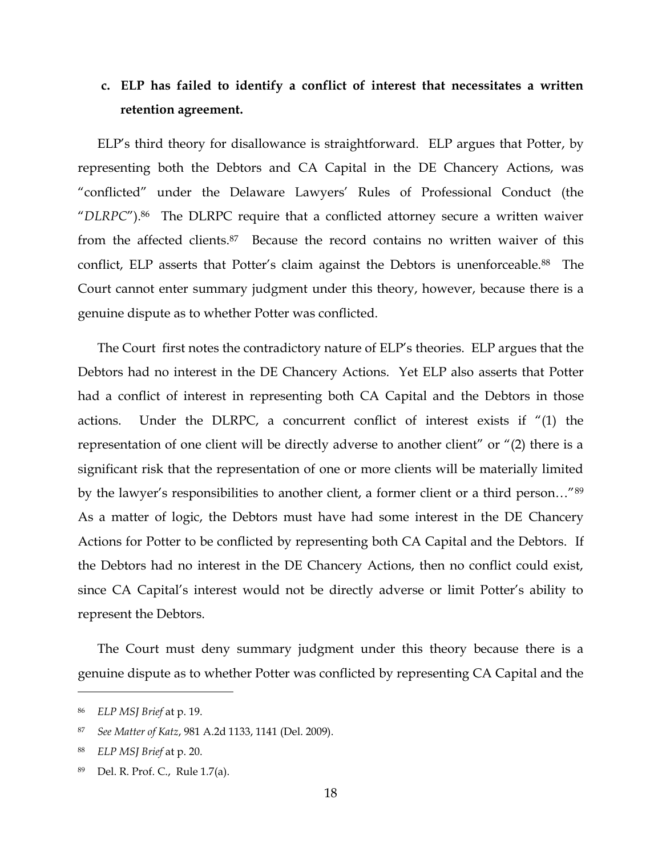# **c. ELP has failed to identify a conflict of interest that necessitates a written retention agreement.**

ELP's third theory for disallowance is straightforward. ELP argues that Potter, by representing both the Debtors and CA Capital in the DE Chancery Actions, was "conflicted" under the Delaware Lawyers' Rules of Professional Conduct (the "*DLRPC*").<sup>86</sup> The DLRPC require that a conflicted attorney secure a written waiver from the affected clients.87 Because the record contains no written waiver of this conflict, ELP asserts that Potter's claim against the Debtors is unenforceable.<sup>88</sup> The Court cannot enter summary judgment under this theory, however, because there is a genuine dispute as to whether Potter was conflicted.

The Court first notes the contradictory nature of ELP's theories. ELP argues that the Debtors had no interest in the DE Chancery Actions. Yet ELP also asserts that Potter had a conflict of interest in representing both CA Capital and the Debtors in those actions. Under the DLRPC, a concurrent conflict of interest exists if "(1) the representation of one client will be directly adverse to another client" or "(2) there is a significant risk that the representation of one or more clients will be materially limited by the lawyer's responsibilities to another client, a former client or a third person…"<sup>89</sup> As a matter of logic, the Debtors must have had some interest in the DE Chancery Actions for Potter to be conflicted by representing both CA Capital and the Debtors. If the Debtors had no interest in the DE Chancery Actions, then no conflict could exist, since CA Capital's interest would not be directly adverse or limit Potter's ability to represent the Debtors.

The Court must deny summary judgment under this theory because there is a genuine dispute as to whether Potter was conflicted by representing CA Capital and the

<sup>86</sup> *ELP MSJ Brief* at p. 19.

<sup>87</sup> *See Matter of Katz*, 981 A.2d 1133, 1141 (Del. 2009).

<sup>88</sup> *ELP MSJ Brief* at p. 20.

Del. R. Prof. C., Rule 1.7(a).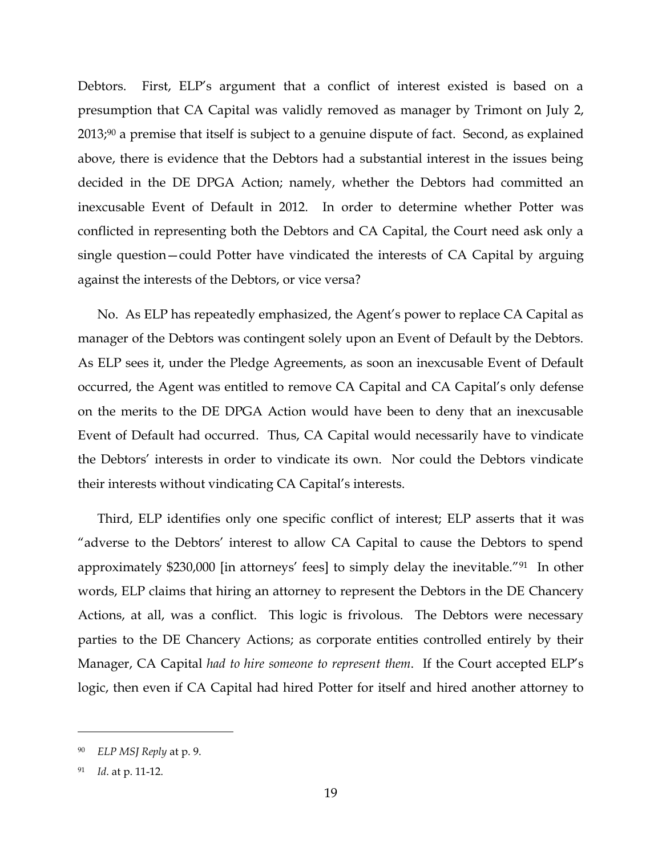Debtors. First, ELP's argument that a conflict of interest existed is based on a presumption that CA Capital was validly removed as manager by Trimont on July 2, 2013; <sup>90</sup> a premise that itself is subject to a genuine dispute of fact. Second, as explained above, there is evidence that the Debtors had a substantial interest in the issues being decided in the DE DPGA Action; namely, whether the Debtors had committed an inexcusable Event of Default in 2012. In order to determine whether Potter was conflicted in representing both the Debtors and CA Capital, the Court need ask only a single question—could Potter have vindicated the interests of CA Capital by arguing against the interests of the Debtors, or vice versa?

No. As ELP has repeatedly emphasized, the Agent's power to replace CA Capital as manager of the Debtors was contingent solely upon an Event of Default by the Debtors. As ELP sees it, under the Pledge Agreements, as soon an inexcusable Event of Default occurred, the Agent was entitled to remove CA Capital and CA Capital's only defense on the merits to the DE DPGA Action would have been to deny that an inexcusable Event of Default had occurred. Thus, CA Capital would necessarily have to vindicate the Debtors' interests in order to vindicate its own. Nor could the Debtors vindicate their interests without vindicating CA Capital's interests.

Third, ELP identifies only one specific conflict of interest; ELP asserts that it was "adverse to the Debtors' interest to allow CA Capital to cause the Debtors to spend approximately \$230,000 [in attorneys' fees] to simply delay the inevitable."91 In other words, ELP claims that hiring an attorney to represent the Debtors in the DE Chancery Actions, at all, was a conflict. This logic is frivolous. The Debtors were necessary parties to the DE Chancery Actions; as corporate entities controlled entirely by their Manager, CA Capital *had to hire someone to represent them*. If the Court accepted ELP's logic, then even if CA Capital had hired Potter for itself and hired another attorney to

<sup>90</sup> *ELP MSJ Reply* at p. 9.

*Id.* at p. 11-12.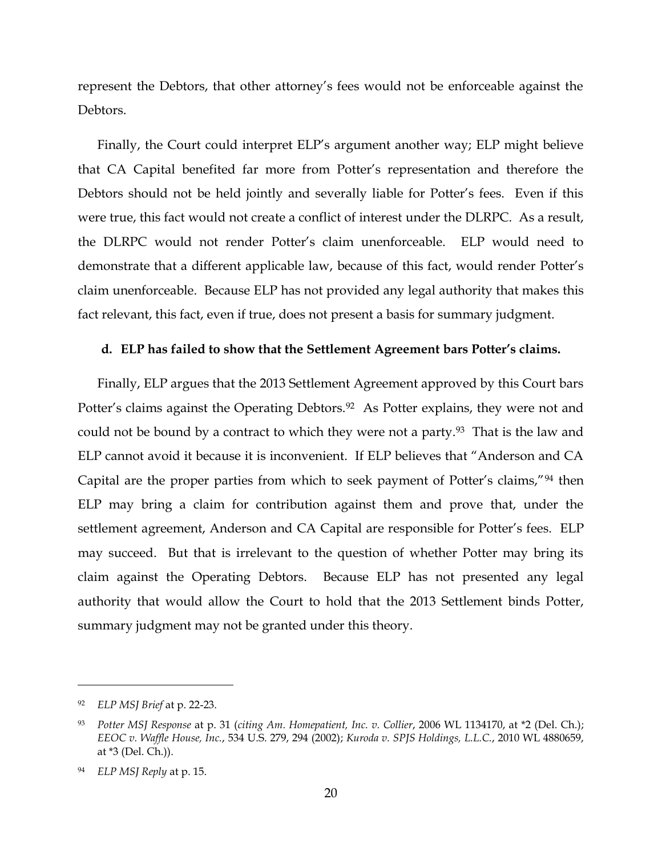represent the Debtors, that other attorney's fees would not be enforceable against the Debtors.

Finally, the Court could interpret ELP's argument another way; ELP might believe that CA Capital benefited far more from Potter's representation and therefore the Debtors should not be held jointly and severally liable for Potter's fees. Even if this were true, this fact would not create a conflict of interest under the DLRPC. As a result, the DLRPC would not render Potter's claim unenforceable. ELP would need to demonstrate that a different applicable law, because of this fact, would render Potter's claim unenforceable. Because ELP has not provided any legal authority that makes this fact relevant, this fact, even if true, does not present a basis for summary judgment.

### **d. ELP has failed to show that the Settlement Agreement bars Potter's claims.**

Finally, ELP argues that the 2013 Settlement Agreement approved by this Court bars Potter's claims against the Operating Debtors.<sup>92</sup> As Potter explains, they were not and could not be bound by a contract to which they were not a party.<sup>93</sup> That is the law and ELP cannot avoid it because it is inconvenient. If ELP believes that "Anderson and CA Capital are the proper parties from which to seek payment of Potter's claims,"<sup>94</sup> then ELP may bring a claim for contribution against them and prove that, under the settlement agreement, Anderson and CA Capital are responsible for Potter's fees. ELP may succeed. But that is irrelevant to the question of whether Potter may bring its claim against the Operating Debtors. Because ELP has not presented any legal authority that would allow the Court to hold that the 2013 Settlement binds Potter, summary judgment may not be granted under this theory.

<sup>92</sup> *ELP MSJ Brief* at p. 22-23.

<sup>93</sup> *Potter MSJ Response* at p. 31 (*citing Am. Homepatient, Inc. v. Collier*, 2006 WL 1134170, at \*2 (Del. Ch.); *EEOC v. Waffle House, Inc.*, 534 U.S. 279, 294 (2002); *Kuroda v. SPJS Holdings, L.L.C.*, 2010 WL 4880659, at \*3 (Del. Ch.)).

<sup>94</sup> *ELP MSJ Reply* at p. 15.